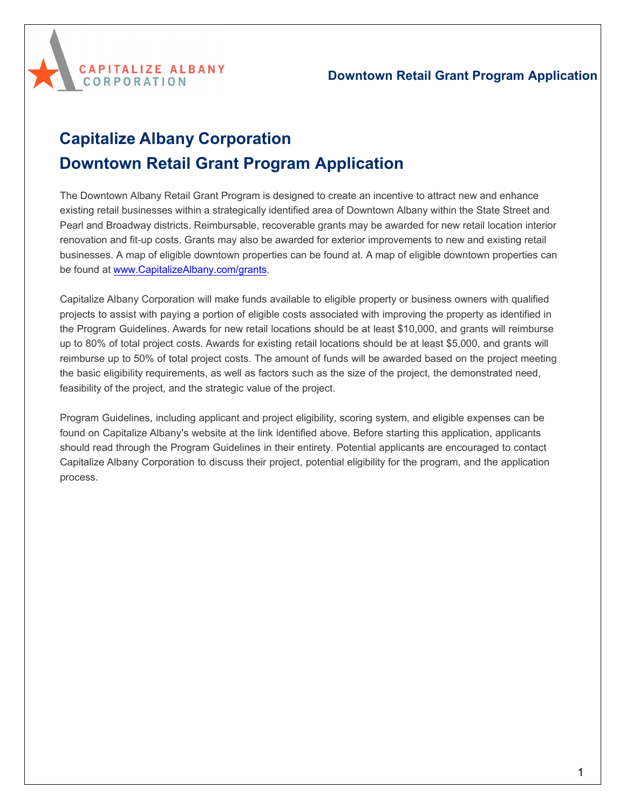

# **Capitalize Albany Corporation Downtown Retail Grant Program Application**

The Downtown Albany Retail Grant Program is designed to create an incentive to attract new and enhance existing retail businesses within a strategically identified area of Downtown Albany within the State Street and Pearl and Broadway districts. Reimbursable, recoverable grants may be awarded for new retail location interior renovation and fit-up costs. Grants may also be awarded for exterior improvements to new and existing retail businesses. A map of eligible downtown properties can be found at. A map of eligible downtown properties can be found at [www.CapitalizeAlbany.com/grants.](http://www.capitalizealbany.com/grants)

Capitalize Albany Corporation will make funds available to eligible property or business owners with qualified projects to assist with paying a portion of eligible costs associated with improving the property as identified in the Program Guidelines. Awards for new retail locations should be at least \$10,000, and grants will reimburse up to 80% of total project costs. Awards for existing retail locations should be at least \$5,000, and grants will reimburse up to 50% of total project costs. The amount of funds will be awarded based on the project meeting the basic eligibility requirements, as well as factors such as the size of the project, the demonstrated need, feasibility of the project, and the strategic value of the project.

Program Guidelines, including applicant and project eligibility, scoring system, and eligible expenses can be found on Capitalize Albany's website at the link identified above. Before starting this application, applicants should read through the Program Guidelines in their entirety. Potential applicants are encouraged to contact Capitalize Albany Corporation to discuss their project, potential eligibility for the program, and the application process.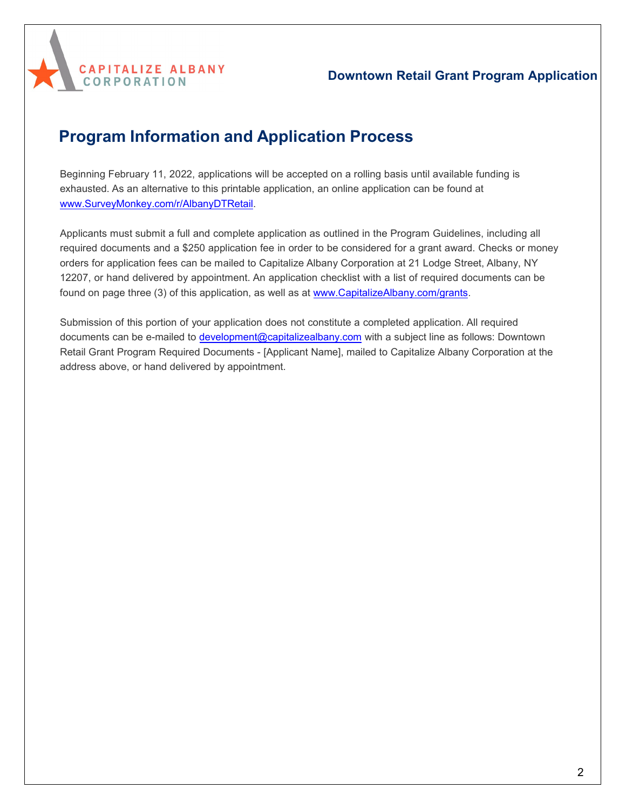

# **Program Information and Application Process**

**CAPITALIZE ALBANY** 

**CORPORATION** 

Beginning February 11, 2022, applications will be accepted on a rolling basis until available funding is exhausted. As an alternative to this printable application, an online application can be found at [www.SurveyMonkey.com/r/](http://www.surveymonkey.com/r/NeighborhoodRetail)AlbanyDTRetail.

Applicants must submit a full and complete application as outlined in the Program Guidelines, including all required documents and a \$250 application fee in order to be considered for a grant award. Checks or money orders for application fees can be mailed to Capitalize Albany Corporation at 21 Lodge Street, Albany, NY 12207, or hand delivered by appointment. An application checklist with a list of required documents can be found on page three (3) of this application, as well as at [www.CapitalizeAlbany.com/grants.](http://www.capitalizealbany.com/grants)

Submission of this portion of your application does not constitute a completed application. All required documents can be e-mailed to [development@capitalizealbany.com](mailto:development@capitalizealbany.com) with a subject line as follows: Downtown Retail Grant Program Required Documents - [Applicant Name], mailed to Capitalize Albany Corporation at the address above, or hand delivered by appointment.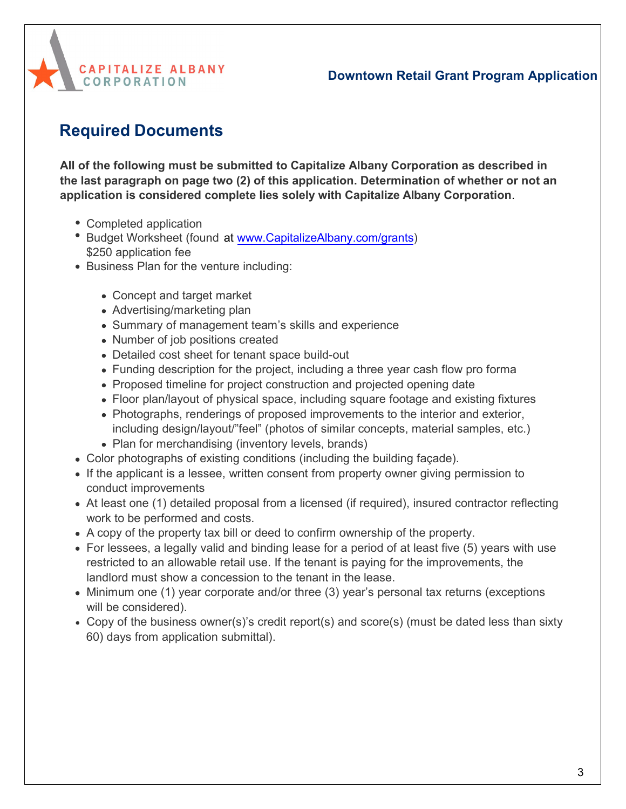



# **Required Documents**

**All of the following must be submitted to Capitalize Albany Corporation as described in the last paragraph on page two (2) of this application. Determination of whether or not an application is considered complete lies solely with Capitalize Albany Corporation**.

- Completed application
- Budget Worksheet (found at [www.CapitalizeAlbany.com/grants\)](http://www.capitalizealbany.come/grants%20and%20page%2022%20of%20this%20document) [\\$250](http://www.capitalizealbany.come/grants%20and%20page%2022%20of%20this%20document) application fee
- Business Plan for the venture including:
	- Concept and target market
	- Advertising/marketing plan
	- Summary of management team's skills and experience
	- Number of job positions created
	- Detailed cost sheet for tenant space build-out
	- Funding description for the project, including a three year cash flow pro forma
	- Proposed timeline for project construction and projected opening date
	- Floor plan/layout of physical space, including square footage and existing fixtures
	- Photographs, renderings of proposed improvements to the interior and exterior, including design/layout/"feel" (photos of similar concepts, material samples, etc.)
	- Plan for merchandising (inventory levels, brands)
- Color photographs of existing conditions (including the building façade).
- If the applicant is a lessee, written consent from property owner giving permission to conduct improvements
- At least one (1) detailed proposal from a licensed (if required), insured contractor reflecting work to be performed and costs.
- A copy of the property tax bill or deed to confirm ownership of the property.
- For lessees, a legally valid and binding lease for a period of at least five (5) years with use restricted to an allowable retail use. If the tenant is paying for the improvements, the landlord must show a concession to the tenant in the lease.
- $\bullet$  Minimum one (1) year corporate and/or three (3) year's personal tax returns (exceptions will be considered).
- Copy of the business owner(s)'s credit report(s) and score(s) (must be dated less than sixty 60) days from application submittal).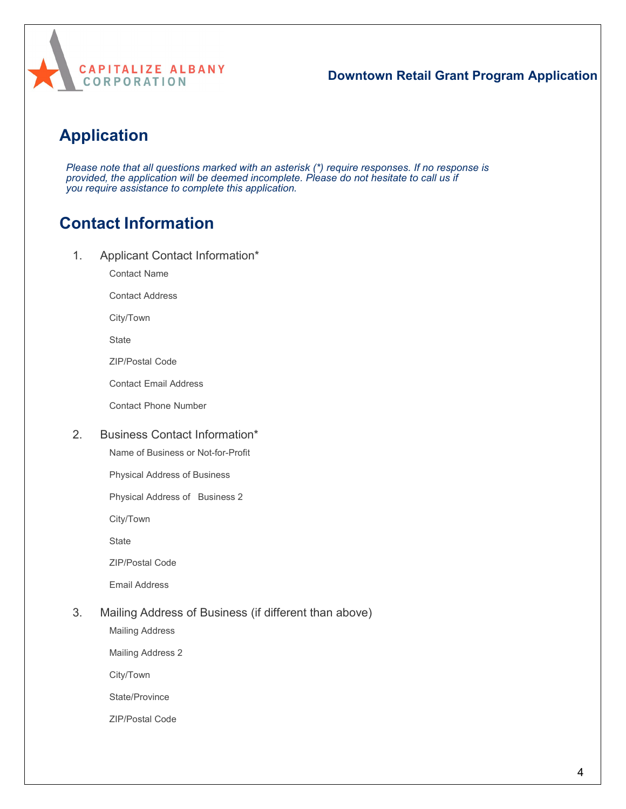

# **Application**

*Please note that all questions marked with an asterisk (\*) require responses. If no response is provided, the application will be deemed incomplete. Please do not hesitate to call us if you require assistance to complete this application.*

# **Contact Information**

1. Applicant Contact Information\*

Contact Name

Contact Address

City/Town

**State** 

ZIP/Postal Code

Contact Email Address

Contact Phone Number

#### 2. Business Contact Information\*

Name of Business or Not-for-Profit

Physical Address of Business

Physical Address of Business 2

City/Town

**State** 

ZIP/Postal Code

Email Address

#### 3. Mailing Address of Business (if different than above)

Mailing Address

Mailing Address 2

City/Town

State/Province

ZIP/Postal Code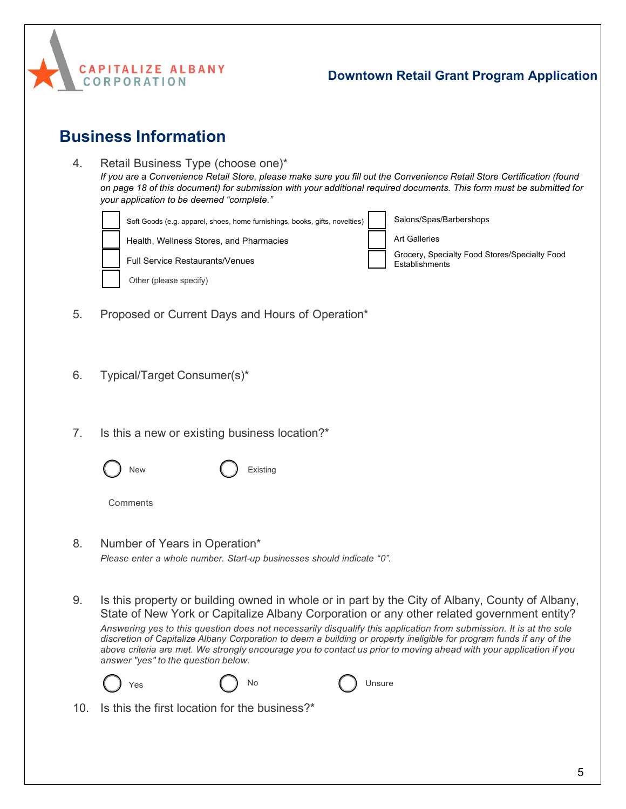

## **Business Information**

- 4. Retail Business Type (choose one)\* *If you are a Convenience Retail Store, please make sure you fill out the Convenience Retail Store Certification (found on page 18 of this document) for submission with your additional required documents. This form must be submitted for your application to be deemed "complete."* Soft Goods (e.g. apparel, shoes, home furnishings, books, gifts, novelties) Health, Wellness Stores, and Pharmacies Full Service Restaurants/Venues Salons/Spas/Barbershops Art Galleries Grocery, Specialty Food Stores/Specialty Food Establishments
- 5. Proposed or Current Days and Hours of Operation\*
- 6. Typical/Target Consumer(s)\*

Other (please specify)

- 7. Is this a new or existing business location?\*
	- New ( ) Existing
	- **Comments**
- 8. Number of Years in Operation\* *Please enter a whole number. Start-up businesses should indicate "0".*
- 9. Is this property or building owned in whole or in part by the City of Albany, County of Albany, State of New York or Capitalize Albany Corporation or any other related government entity?

*Answering yes to this question does not necessarily disqualify this application from submission. It is at the sole* discretion of Capitalize Albany Corporation to deem a building or property ineligible for program funds if any of the *above criteria are met. We strongly encourage you to contact us prior to moving ahead with your application if you answer "yes" to the question below.*



10. Is this the first location for the business?\*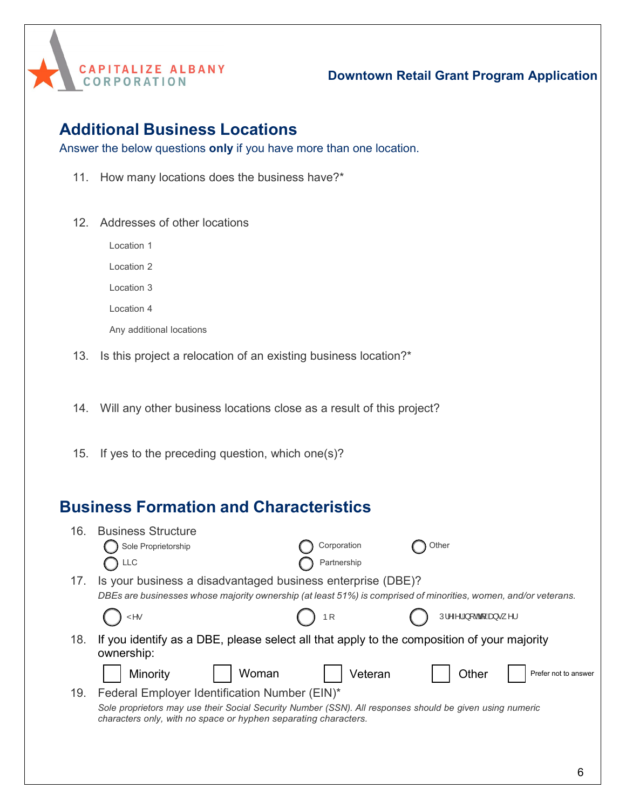

## **Additional Business Locations**

Answer the below questions **only** if you have more than one location.

- 11. How many locations does the business have?\*
- 12. Addresses of other locations

Location 1

Location 2

Location 3

Location 4

Any additional locations

13. Is this project a relocation of an existing business location?\*

14. Will any other business locations close as a result of this project?

15. If yes to the preceding question, which one(s)?

## **Business Formation and Characteristics**

| 16. | <b>Business Structure</b>                                                                                                                                                   |             |                                                                                                                                         |                      |
|-----|-----------------------------------------------------------------------------------------------------------------------------------------------------------------------------|-------------|-----------------------------------------------------------------------------------------------------------------------------------------|----------------------|
|     | Sole Proprietorship                                                                                                                                                         | Corporation | Other                                                                                                                                   |                      |
|     | LLC                                                                                                                                                                         | Partnership |                                                                                                                                         |                      |
| 17. | Is your business a disadvantaged business enterprise (DBE)?                                                                                                                 |             |                                                                                                                                         |                      |
|     | DBEs are businesses whose majority ownership (at least 51%) is comprised of minorities, women, and/or veterans.                                                             |             |                                                                                                                                         |                      |
|     | Y٨.                                                                                                                                                                         | Þſ          | $U_1^{\prime} \wedge \wedge \{ \hat{A} \}$ [ $\partial A_1^{\prime}$ $\hat{A}$ $\partial A_2^{\prime}$ $\bullet$ $\Box$ $\wedge$ $\Box$ |                      |
| 18. | If you identify as a DBE, please select all that apply to the composition of your majority                                                                                  |             |                                                                                                                                         |                      |
|     | ownership:                                                                                                                                                                  |             |                                                                                                                                         |                      |
|     | Woman<br>Minority                                                                                                                                                           | Veteran     | Other                                                                                                                                   | Prefer not to answer |
| 19. | Federal Employer Identification Number (EIN)*                                                                                                                               |             |                                                                                                                                         |                      |
|     | Sole proprietors may use their Social Security Number (SSN). All responses should be given using numeric<br>characters only, with no space or hyphen separating characters. |             |                                                                                                                                         |                      |
|     |                                                                                                                                                                             |             |                                                                                                                                         |                      |
|     |                                                                                                                                                                             |             |                                                                                                                                         |                      |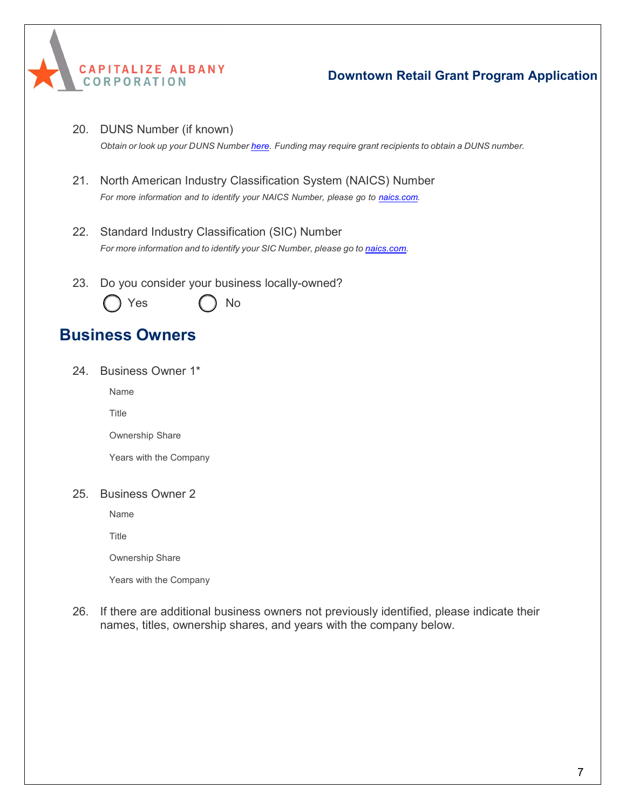

20. DUNS Number (if known)

*Obtain or look up your DUNS Number [here.](https://www.dnb.com/duns-number.html) Funding may require grant recipients to obtain a DUNS number.*

- 21. North American Industry Classification System (NAICS) Number *For more information and to identify your NAICS Number, please go to [naics.com.](https://www.naics.com/search/)*
- 22. Standard Industry Classification (SIC) Number *For more information and to identify your SIC Number, please go to [naics.com.](https://www.naics.com/search/)*
- 23. Do you consider your business locally-owned?



## **Business Owners**

24. Business Owner 1\*

Name

Title

Ownership Share

Years with the Company

#### 25. Business Owner 2

Name

**Title** 

Ownership Share

Years with the Company

26. If there are additional business owners not previously identified, please indicate their names, titles, ownership shares, and years with the company below.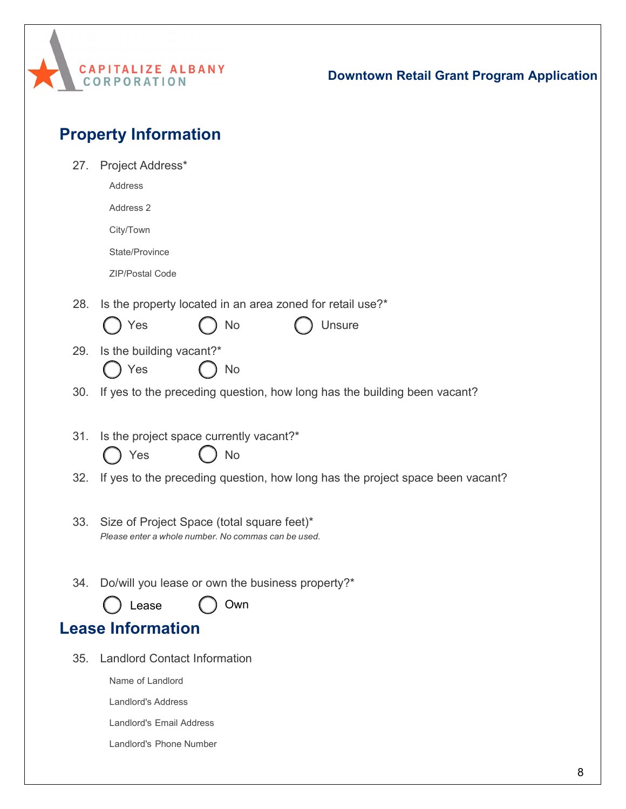

| <b>Property Information</b> |
|-----------------------------|
|                             |

| 27. | Project Address*                                                                                  |
|-----|---------------------------------------------------------------------------------------------------|
|     | Address                                                                                           |
|     | Address 2                                                                                         |
|     | City/Town                                                                                         |
|     | State/Province                                                                                    |
|     | ZIP/Postal Code                                                                                   |
| 28. | Is the property located in an area zoned for retail use?*                                         |
|     | No<br>Unsure<br>Yes                                                                               |
| 29. | Is the building vacant?*                                                                          |
|     | Yes<br>No                                                                                         |
| 30. | If yes to the preceding question, how long has the building been vacant?                          |
|     |                                                                                                   |
| 31. | Is the project space currently vacant?*                                                           |
|     | <b>No</b><br>Yes                                                                                  |
| 32. | If yes to the preceding question, how long has the project space been vacant?                     |
|     |                                                                                                   |
| 33. | Size of Project Space (total square feet)*<br>Please enter a whole number. No commas can be used. |
|     |                                                                                                   |
| 34. | Do/will you lease or own the business property?*                                                  |
|     | Own<br>ease.                                                                                      |
|     | <b>Lease Information</b>                                                                          |
|     |                                                                                                   |
| 35. | <b>Landlord Contact Information</b>                                                               |
|     | Name of Landlord                                                                                  |
|     | Landlord's Address                                                                                |
|     | <b>Landlord's Email Address</b>                                                                   |
|     | Landlord's Phone Number                                                                           |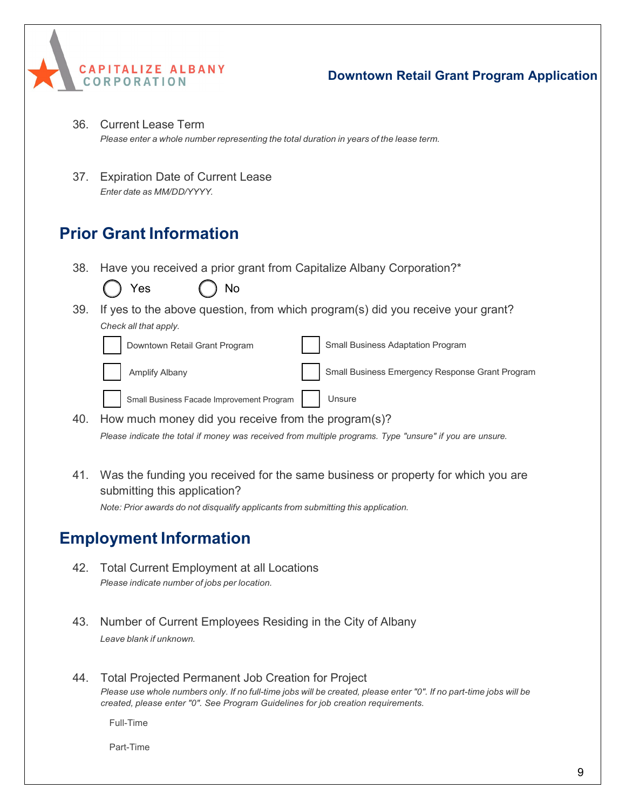

- 36. Current Lease Term *Please enter a whole number representing the total duration in years of the lease term.*
- 37. Expiration Date of Current Lease *Enter date as MM/DD/YYYY.*

# **Prior Grant Information**

38. Have you received a prior grant from Capitalize Albany Corporation?\*

|     | Yes<br>No                                           |                                                                                                          |
|-----|-----------------------------------------------------|----------------------------------------------------------------------------------------------------------|
| 39. |                                                     | If yes to the above question, from which program(s) did you receive your grant?                          |
|     | Check all that apply.                               |                                                                                                          |
|     | Downtown Retail Grant Program                       | Small Business Adaptation Program                                                                        |
|     | Amplify Albany                                      | Small Business Emergency Response Grant Program                                                          |
|     | Small Business Facade Improvement Program           | Unsure                                                                                                   |
| 40. | How much money did you receive from the program(s)? |                                                                                                          |
|     |                                                     | Please indicate the total if money was received from multiple programs. Type "unsure" if you are unsure. |

41. Was the funding you received for the same business or property for which you are submitting this application? *Note: Prior awards do not disqualify applicants from submitting this application.*

# **Employment Information**

- 42. Total Current Employment at all Locations *Please indicate number of jobs per location.*
- 43. Number of Current Employees Residing in the City of Albany *Leave blank if unknown.*
- 44. Total Projected Permanent Job Creation for Project Please use whole numbers only. If no full-time jobs will be created, please enter "0". If no part-time jobs will be *created, please enter "0". See Program Guidelines for job creation requirements.*

Full-Time

Part-Time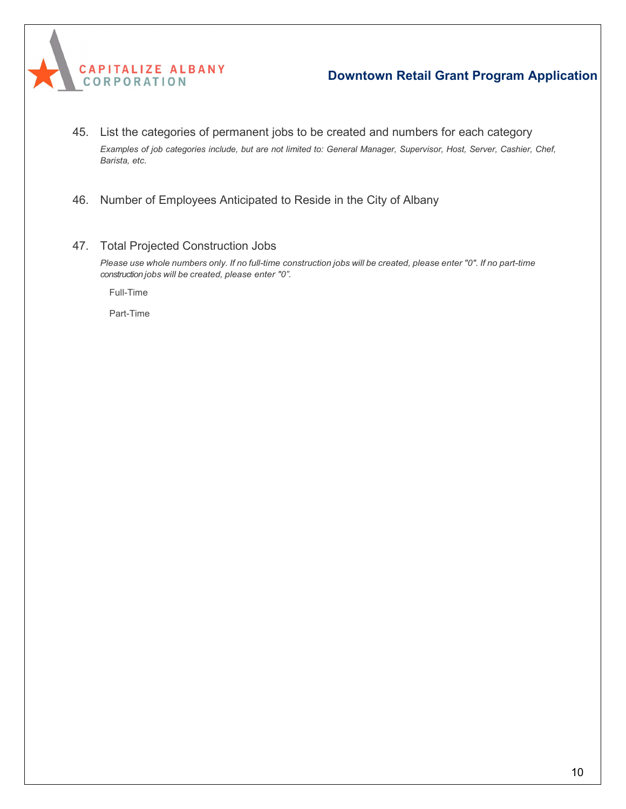

- 45. List the categories of permanent jobs to be created and numbers for each category Examples of job categories include, but are not limited to: General Manager, Supervisor, Host, Server, Cashier, Chef, *Barista, etc.*
- 46. Number of Employees Anticipated to Reside in the City of Albany
- 47. Total Projected Construction Jobs

Please use whole numbers only. If no full-time construction jobs will be created, please enter "0". If no part-time *construction jobs will be created, please enter "0".*

Full-Time

Part-Time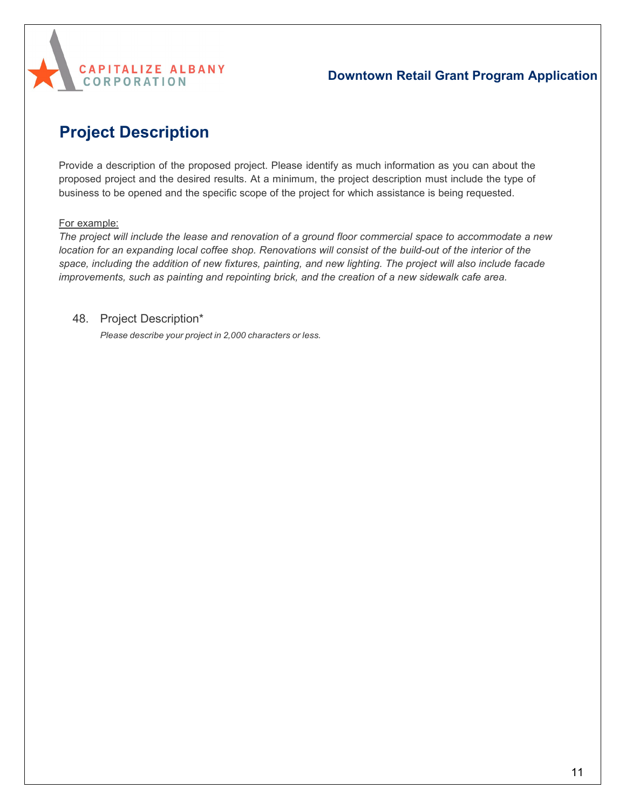

# **Project Description**

Provide a description of the proposed project. Please identify as much information as you can about the proposed project and the desired results. At a minimum, the project description must include the type of business to be opened and the specific scope of the project for which assistance is being requested.

#### For example:

*The project will include the lease and renovation of a ground floor commercial space to accommodate a new* location for an expanding local coffee shop. Renovations will consist of the build-out of the interior of the space, including the addition of new fixtures, painting, and new lighting. The project will also include facade *improvements, such as painting and repointing brick, and the creation of a new sidewalk cafe area.*

#### 48. Project Description\*

*Please describe your project in 2,000 characters or less.*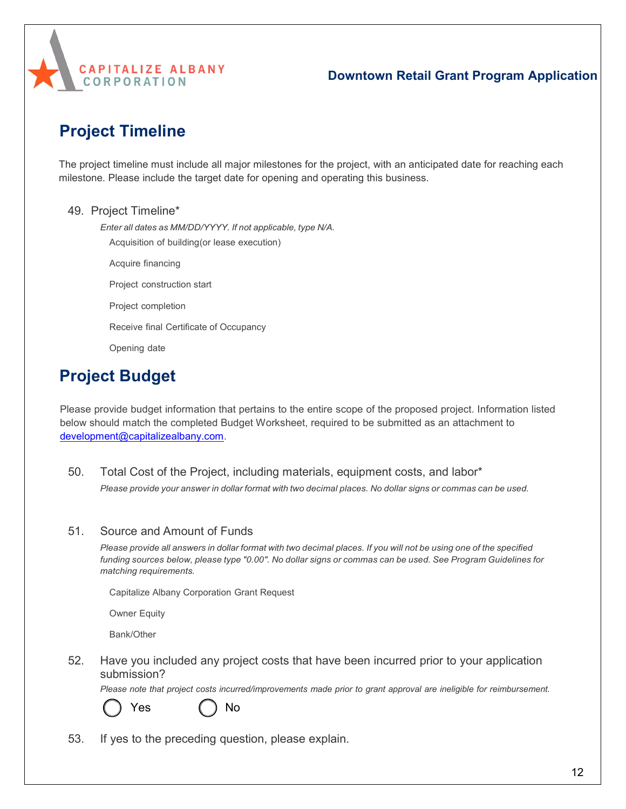

# **Project Timeline**

The project timeline must include all major milestones for the project, with an anticipated date for reaching each milestone. Please include the target date for opening and operating this business.

#### 49. Project Timeline\*

*Enter all dates as MM/DD/YYYY. If not applicable, type N/A.*

Acquisition of building (or lease execution)

Acquire financing

Project construction start

Project completion

Receive final Certificate of Occupancy

Opening date

# **Project Budget**

Please provide budget information that pertains to the entire scope of the proposed project. Information listed below should match the completed Budget Worksheet, required to be submitted as an attachment to [development@capitalizealbany.com.](mailto:development@capitalizealbany.com)

50. Total Cost of the Project, including materials, equipment costs, and labor\* Please provide your answer in dollar format with two decimal places. No dollar signs or commas can be used.

#### 51. Source and Amount of Funds

Please provide all answers in dollar format with two decimal places. If you will not be using one of the specified funding sources below, please type "0.00". No dollar signs or commas can be used. See Program Guidelines for *matching requirements.*

Capitalize Albany Corporation Grant Request

Owner Equity

Bank/Other

52. Have you included any project costs that have been incurred prior to your application submission?

*Please note that project costs incurred/improvements made prior to grant approval are ineligible for reimbursement.*



Yes ( ) No

53. If yes to the preceding question, please explain.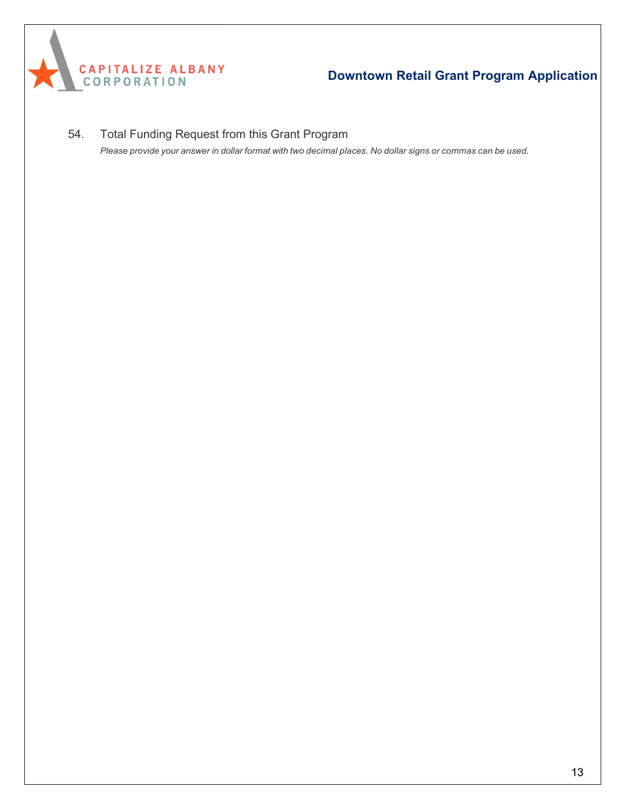

54. Total Funding Request from this Grant Program Please provide your answer in dollar format with two decimal places. No dollar signs or commas can be used.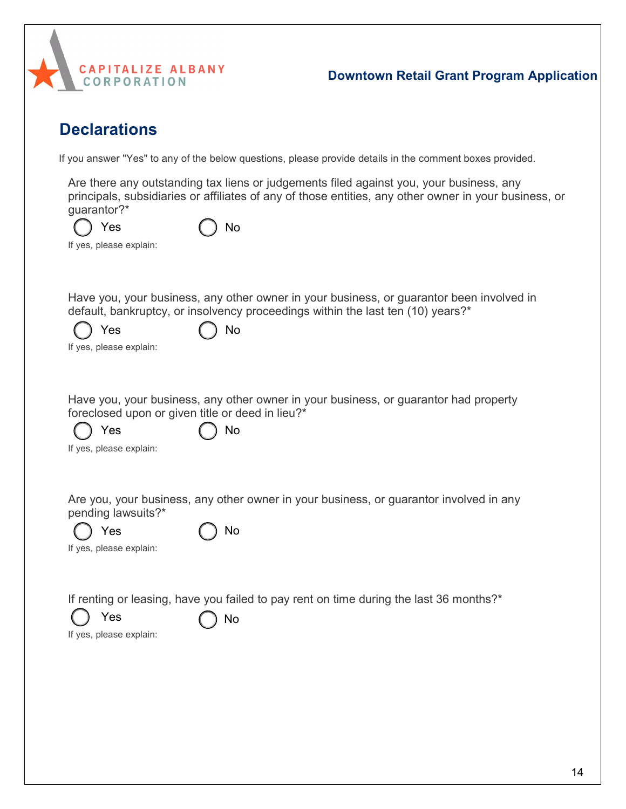

## **Declarations**

If you answer "Yes" to any of the below questions, please provide details in the comment boxes provided.

Are there any outstanding tax liens or judgements filed against you, your business, any principals, subsidiaries or affiliates of any of those entities, any other owner in your business, or guarantor?\*

| $\bigcirc$ Yes          | $\bigcirc$ No |
|-------------------------|---------------|
| If yes, please explain: |               |

Have you, your business, any other owner in your business, or guarantor been involved in default, bankruptcy, or insolvency proceedings within the last ten (10) years?\*

| $\bigcirc$ Yes | $()$ No |
|----------------|---------|
|                |         |

If yes, please explain:

Have you, your business, any other owner in your business, or guarantor had property foreclosed upon or given title or deed in lieu?\*

Yes ( ) No

|  |  | If yes, please explain: |  |  |
|--|--|-------------------------|--|--|
|--|--|-------------------------|--|--|

Are you, your business, any other owner in your business, or guarantor involved in any pending lawsuits?\*

| $()$ Yes                | $\bigcap$ No |
|-------------------------|--------------|
| If yes, please explain: |              |

If renting or leasing, have you failed to pay rent on time during the last 36 months?\*



Yes  $\bigcap$  No

If yes, please explain: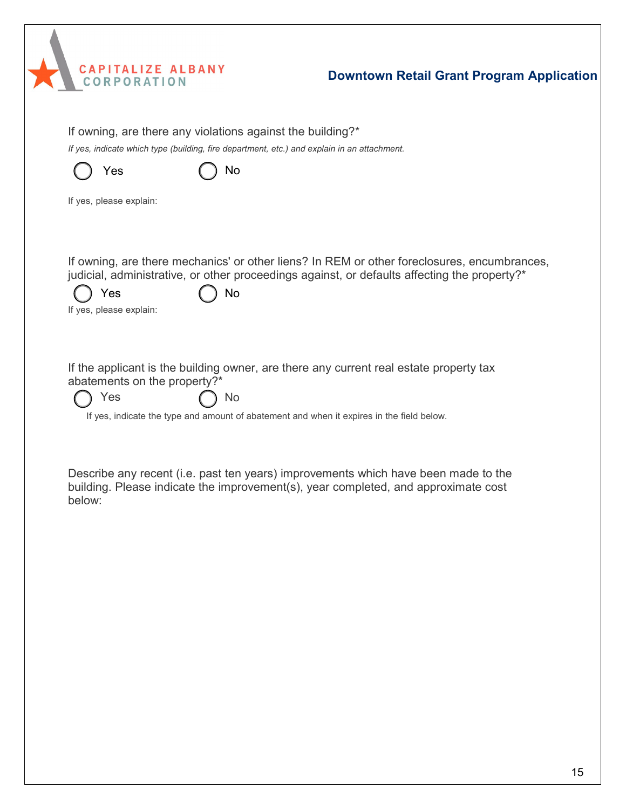|  | <b>CAPITALIZE ALBANY</b> |
|--|--------------------------|
|  | <b>CORPORATION</b>       |
|  |                          |

If owning, are there any violations against the building?\* *If yes, indicate which type (building, fire department, etc.) and explain in an attachment.* If yes, please explain: If owning, are there mechanics' or other liens? In REM or other foreclosures, encumbrances, judicial, administrative, or other proceedings against, or defaults affecting the property?\* If yes, please explain: If the applicant is the building owner, are there any current real estate property tax abatements on the property?\* If yes, indicate the type and amount of abatement and when it expires in the field below. Describe any recent (i.e. past ten years) improvements which have been made to the building. Please indicate the improvement(s), year completed, and approximate cost below:  $Yes$  ( )  $No$  $Yes$  ( ) No Yes  $\bigcap$  No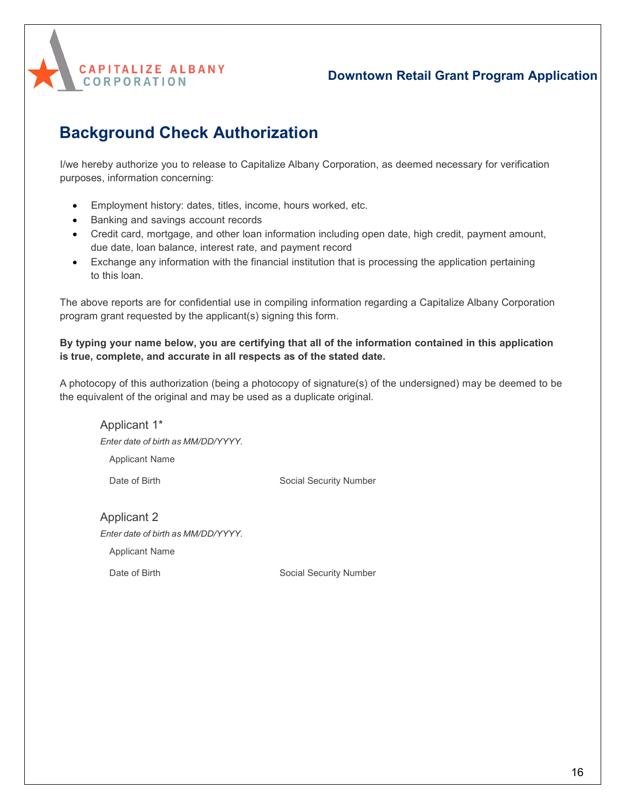

# **Background Check Authorization**

I/we hereby authorize you to release to Capitalize Albany Corporation, as deemed necessary for verification purposes, information concerning:

- Employment history: dates, titles, income, hours worked, etc.
- Banking and savings account records
- Credit card, mortgage, and other loan information including open date, high credit, payment amount, due date, loan balance, interest rate, and payment record
- Exchange any information with the financial institution that is processing the application pertaining to this loan.

The above reports are for confidential use in compiling information regarding a Capitalize Albany Corporation program grant requested by the applicant(s) signing this form.

#### **By typing your name below, you are certifying that all of the information contained in this application is true, complete, and accurate in all respects as of the stated date.**

A photocopy of this authorization (being a photocopy of signature(s) of the undersigned) may be deemed to be the equivalent of the original and may be used as a duplicate original.

Applicant 1\* *Enter date of birth as MM/DD/YYYY.* Applicant Name Date of Birth Social Security Number

Applicant 2 *Enter date of birth as MM/DD/YYYY.* Applicant Name

Date of Birth Social Security Number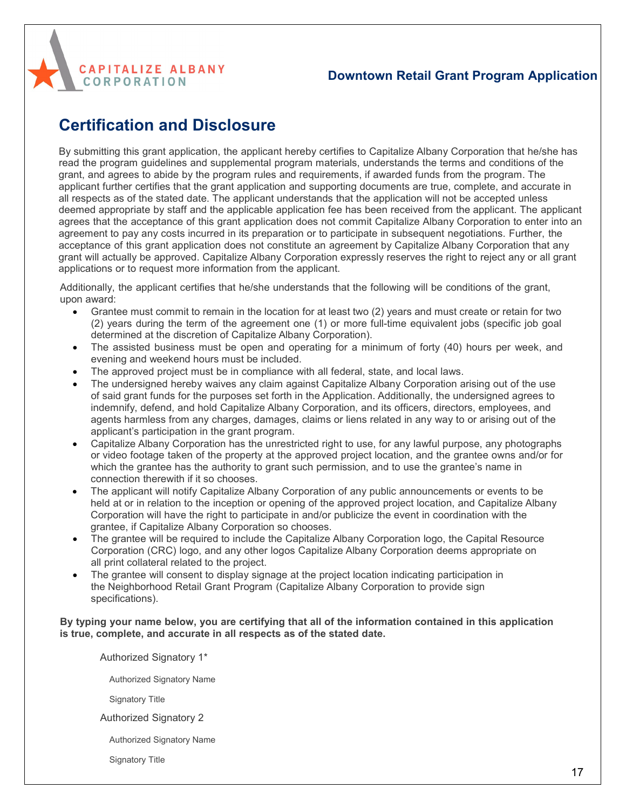

## **Certification and Disclosure**

By submitting this grant application, the applicant hereby certifies to Capitalize Albany Corporation that he/she has read the program guidelines and supplemental program materials, understands the terms and conditions of the grant, and agrees to abide by the program rules and requirements, if awarded funds from the program. The applicant further certifies that the grant application and supporting documents are true, complete, and accurate in all respects as of the stated date. The applicant understands that the application will not be accepted unless deemed appropriate by staff and the applicable application fee has been received from the applicant. The applicant agrees that the acceptance of this grant application does not commit Capitalize Albany Corporation to enter into an agreement to pay any costs incurred in its preparation or to participate in subsequent negotiations. Further, the acceptance of this grant application does not constitute an agreement by Capitalize Albany Corporation that any grant will actually be approved. Capitalize Albany Corporation expressly reserves the right to reject any or all grant applications or to request more information from the applicant.

Additionally, the applicant certifies that he/she understands that the following will be conditions of the grant, upon award:

- Grantee must commit to remain in the location for at least two (2) years and must create or retain for two (2) years during the term of the agreement one (1) or more full-time equivalent jobs (specific job goal determined at the discretion of Capitalize Albany Corporation).
- The assisted business must be open and operating for a minimum of forty (40) hours per week, and evening and weekend hours must be included.
- The approved project must be in compliance with all federal, state, and local laws.
- The undersigned hereby waives any claim against Capitalize Albany Corporation arising out of the use of said grant funds for the purposes set forth in the Application. Additionally, the undersigned agrees to indemnify, defend, and hold Capitalize Albany Corporation, and its officers, directors, employees, and agents harmless from any charges, damages, claims or liens related in any way to or arising out of the applicant's participation in the grant program.
- Capitalize Albany Corporation has the unrestricted right to use, for any lawful purpose, any photographs or video footage taken of the property at the approved project location, and the grantee owns and/or for which the grantee has the authority to grant such permission, and to use the grantee's name in connection therewith if it so chooses.
- The applicant will notify Capitalize Albany Corporation of any public announcements or events to be held at or in relation to the inception or opening of the approved project location, and Capitalize Albany Corporation will have the right to participate in and/or publicize the event in coordination with the grantee, if Capitalize Albany Corporation so chooses.
- The grantee will be required to include the Capitalize Albany Corporation logo, the Capital Resource Corporation (CRC) logo, and any other logos Capitalize Albany Corporation deems appropriate on all print collateral related to the project.
- The grantee will consent to display signage at the project location indicating participation in the Neighborhood Retail Grant Program (Capitalize Albany Corporation to provide sign specifications).

#### **By typing your name below, you are certifying that all of the information contained in this application is true, complete, and accurate in all respects as of the stated date.**

Authorized Signatory 1\*

Authorized Signatory Name

Signatory Title

Authorized Signatory 2

Authorized Signatory Name

Signatory Title